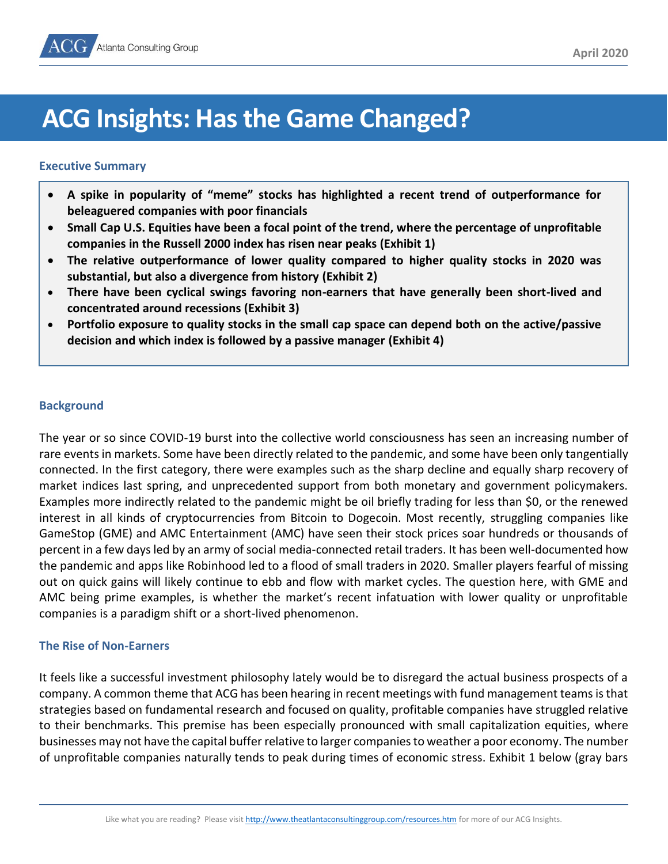

# **ACG Insights: Has the Game Changed?**

#### **Executive Summary**

- **A spike in popularity of "meme" stocks has highlighted a recent trend of outperformance for beleaguered companies with poor financials**
- **Small Cap U.S. Equities have been a focal point of the trend, where the percentage of unprofitable companies in the Russell 2000 index has risen near peaks (Exhibit 1)**
- **The relative outperformance of lower quality compared to higher quality stocks in 2020 was substantial, but also a divergence from history (Exhibit 2)**
- **There have been cyclical swings favoring non-earners that have generally been short-lived and concentrated around recessions (Exhibit 3)**
- **Portfolio exposure to quality stocks in the small cap space can depend both on the active/passive decision and which index is followed by a passive manager (Exhibit 4)**

#### **Background**

The year or so since COVID-19 burst into the collective world consciousness has seen an increasing number of rare events in markets. Some have been directly related to the pandemic, and some have been only tangentially connected. In the first category, there were examples such as the sharp decline and equally sharp recovery of market indices last spring, and unprecedented support from both monetary and government policymakers. Examples more indirectly related to the pandemic might be oil briefly trading for less than \$0, or the renewed interest in all kinds of cryptocurrencies from Bitcoin to Dogecoin. Most recently, struggling companies like GameStop (GME) and AMC Entertainment (AMC) have seen their stock prices soar hundreds or thousands of percent in a few days led by an army of social media-connected retail traders. It has been well-documented how the pandemic and apps like Robinhood led to a flood of small traders in 2020. Smaller players fearful of missing out on quick gains will likely continue to ebb and flow with market cycles. The question here, with GME and AMC being prime examples, is whether the market's recent infatuation with lower quality or unprofitable companies is a paradigm shift or a short-lived phenomenon.

#### **The Rise of Non-Earners**

It feels like a successful investment philosophy lately would be to disregard the actual business prospects of a company. A common theme that ACG has been hearing in recent meetings with fund management teams is that strategies based on fundamental research and focused on quality, profitable companies have struggled relative to their benchmarks. This premise has been especially pronounced with small capitalization equities, where businesses may not have the capital buffer relative to larger companies to weather a poor economy. The number of unprofitable companies naturally tends to peak during times of economic stress. Exhibit 1 below (gray bars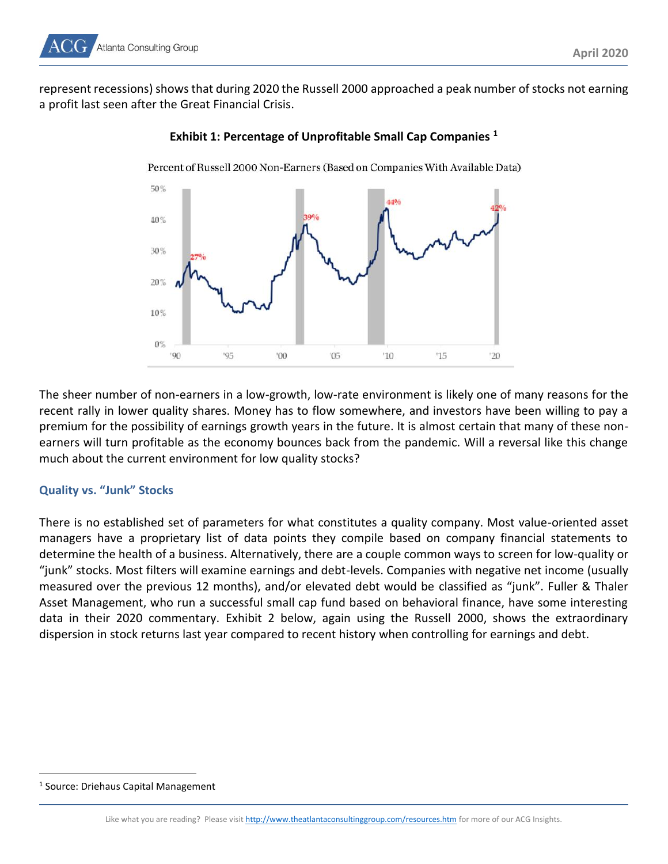represent recessions) shows that during 2020 the Russell 2000 approached a peak number of stocks not earning a profit last seen after the Great Financial Crisis.



## **Exhibit 1: Percentage of Unprofitable Small Cap Companies <sup>1</sup>**

The sheer number of non-earners in a low-growth, low-rate environment is likely one of many reasons for the recent rally in lower quality shares. Money has to flow somewhere, and investors have been willing to pay a premium for the possibility of earnings growth years in the future. It is almost certain that many of these nonearners will turn profitable as the economy bounces back from the pandemic. Will a reversal like this change much about the current environment for low quality stocks?

## **Quality vs. "Junk" Stocks**

There is no established set of parameters for what constitutes a quality company. Most value-oriented asset managers have a proprietary list of data points they compile based on company financial statements to determine the health of a business. Alternatively, there are a couple common ways to screen for low-quality or "junk" stocks. Most filters will examine earnings and debt-levels. Companies with negative net income (usually measured over the previous 12 months), and/or elevated debt would be classified as "junk". Fuller & Thaler Asset Management, who run a successful small cap fund based on behavioral finance, have some interesting data in their 2020 commentary. Exhibit 2 below, again using the Russell 2000, shows the extraordinary dispersion in stock returns last year compared to recent history when controlling for earnings and debt.

<sup>&</sup>lt;sup>1</sup> Source: Driehaus Capital Management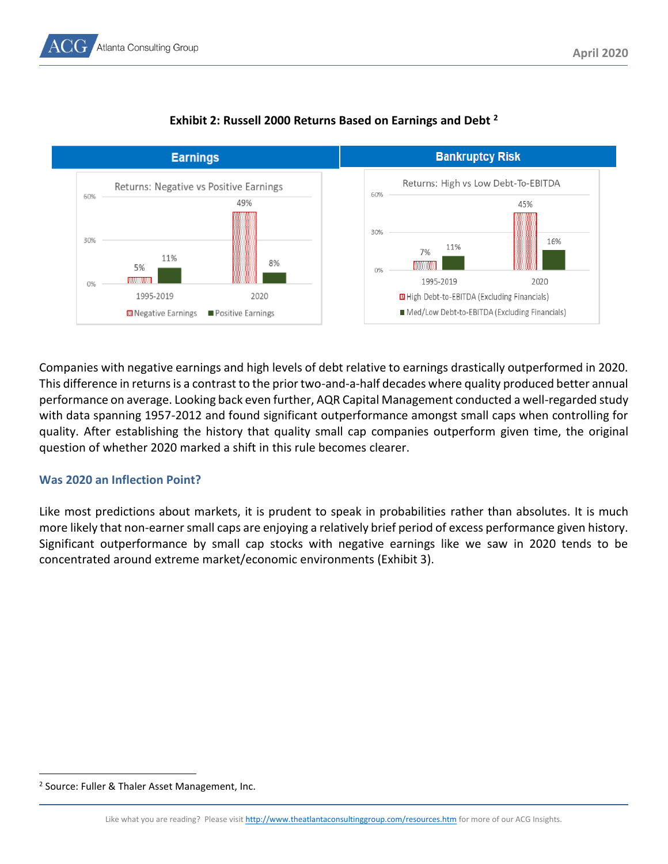



# **Exhibit 2: Russell 2000 Returns Based on Earnings and Debt <sup>2</sup>**

Companies with negative earnings and high levels of debt relative to earnings drastically outperformed in 2020. This difference in returns is a contrast to the prior two-and-a-half decades where quality produced better annual performance on average. Looking back even further, AQR Capital Management conducted a well-regarded study with data spanning 1957-2012 and found significant outperformance amongst small caps when controlling for quality. After establishing the history that quality small cap companies outperform given time, the original question of whether 2020 marked a shift in this rule becomes clearer.

## **Was 2020 an Inflection Point?**

Like most predictions about markets, it is prudent to speak in probabilities rather than absolutes. It is much more likely that non-earner small caps are enjoying a relatively brief period of excess performance given history. Significant outperformance by small cap stocks with negative earnings like we saw in 2020 tends to be concentrated around extreme market/economic environments (Exhibit 3).

<sup>&</sup>lt;sup>2</sup> Source: Fuller & Thaler Asset Management, Inc.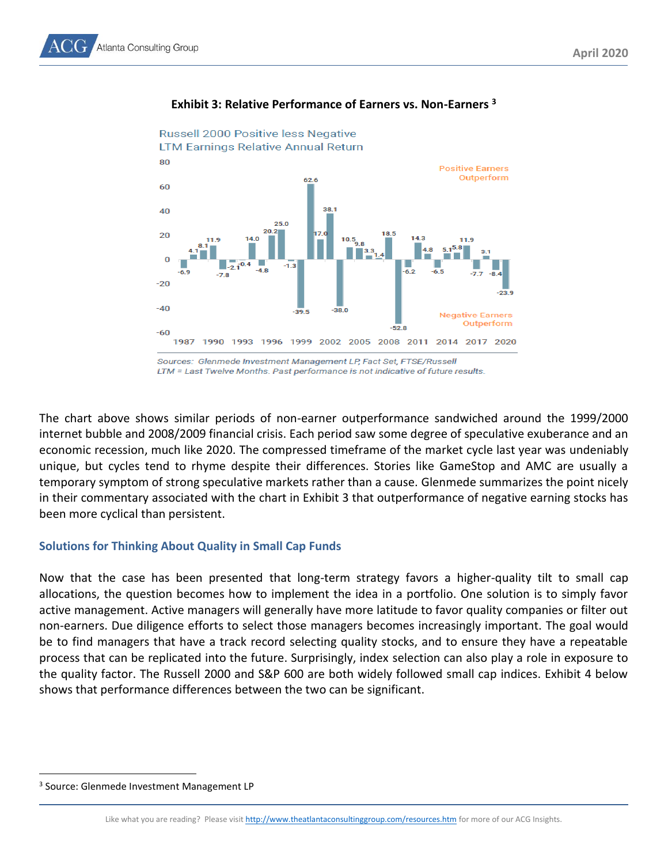

#### **Exhibit 3: Relative Performance of Earners vs. Non-Earners <sup>3</sup>**

Sources: Glenmede Investment Management LP, Fact Set, FTSE/Russell LTM = Last Twelve Months. Past performance is not indicative of future results.

The chart above shows similar periods of non-earner outperformance sandwiched around the 1999/2000 internet bubble and 2008/2009 financial crisis. Each period saw some degree of speculative exuberance and an economic recession, much like 2020. The compressed timeframe of the market cycle last year was undeniably unique, but cycles tend to rhyme despite their differences. Stories like GameStop and AMC are usually a temporary symptom of strong speculative markets rather than a cause. Glenmede summarizes the point nicely in their commentary associated with the chart in Exhibit 3 that outperformance of negative earning stocks has been more cyclical than persistent.

## **Solutions for Thinking About Quality in Small Cap Funds**

Now that the case has been presented that long-term strategy favors a higher-quality tilt to small cap allocations, the question becomes how to implement the idea in a portfolio. One solution is to simply favor active management. Active managers will generally have more latitude to favor quality companies or filter out non-earners. Due diligence efforts to select those managers becomes increasingly important. The goal would be to find managers that have a track record selecting quality stocks, and to ensure they have a repeatable process that can be replicated into the future. Surprisingly, index selection can also play a role in exposure to the quality factor. The Russell 2000 and S&P 600 are both widely followed small cap indices. Exhibit 4 below shows that performance differences between the two can be significant.

<sup>3</sup> Source: Glenmede Investment Management LP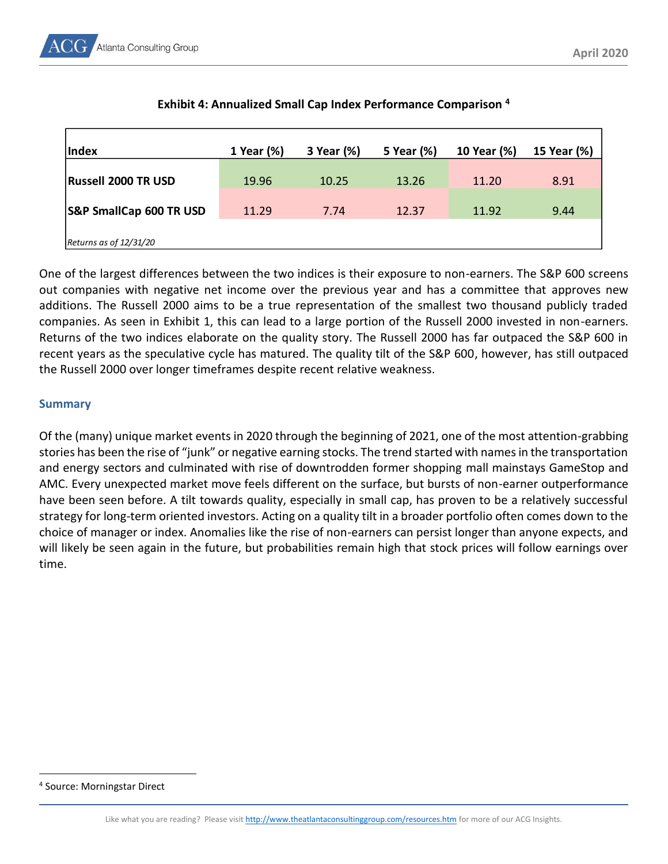

| Index                              | 1 Year (%) | 3 Year (%) | 5 Year (%) | 10 Year (%) | 15 Year (%) |
|------------------------------------|------------|------------|------------|-------------|-------------|
| <b>Russell 2000 TR USD</b>         | 19.96      | 10.25      | 13.26      | 11.20       | 8.91        |
| <b>S&amp;P SmallCap 600 TR USD</b> | 11.29      | 7.74       | 12.37      | 11.92       | 9.44        |
| Returns as of $12/31/20$           |            |            |            |             |             |

## **Exhibit 4: Annualized Small Cap Index Performance Comparison <sup>4</sup>**

One of the largest differences between the two indices is their exposure to non-earners. The S&P 600 screens out companies with negative net income over the previous year and has a committee that approves new additions. The Russell 2000 aims to be a true representation of the smallest two thousand publicly traded companies. As seen in Exhibit 1, this can lead to a large portion of the Russell 2000 invested in non-earners. Returns of the two indices elaborate on the quality story. The Russell 2000 has far outpaced the S&P 600 in recent years as the speculative cycle has matured. The quality tilt of the S&P 600, however, has still outpaced the Russell 2000 over longer timeframes despite recent relative weakness.

## **Summary**

Of the (many) unique market events in 2020 through the beginning of 2021, one of the most attention-grabbing stories has been the rise of "junk" or negative earning stocks. The trend started with names in the transportation and energy sectors and culminated with rise of downtrodden former shopping mall mainstays GameStop and AMC. Every unexpected market move feels different on the surface, but bursts of non-earner outperformance have been seen before. A tilt towards quality, especially in small cap, has proven to be a relatively successful strategy for long-term oriented investors. Acting on a quality tilt in a broader portfolio often comes down to the choice of manager or index. Anomalies like the rise of non-earners can persist longer than anyone expects, and will likely be seen again in the future, but probabilities remain high that stock prices will follow earnings over time.

<sup>4</sup> Source: Morningstar Direct